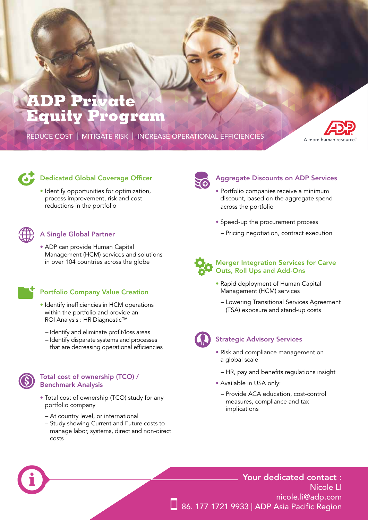# l vete Equi qram

REDUCE COST | MITIGATE RISK | INCREASE OPERATIONAL EFFICIENCIES





# Dedicated Global Coverage Officer

• Identify opportunities for optimization, process improvement, risk and cost reductions in the portfolio



## A Single Global Partner

• ADP can provide Human Capital Management (HCM) services and solutions in over 104 countries across the globe

# Portfolio Company Value Creation

- Identify inefficiencies in HCM operations within the portfolio and provide an ROI Analysis : HR Diagnostic™
	- Identify and eliminate profit/loss areas
	- Identify disparate systems and processes that are decreasing operational efficiencies



#### Total cost of ownership (TCO) / Benchmark Analysis

- Total cost of ownership (TCO) study for any portfolio company
	- At country level, or international
	- Study showing Current and Future costs to manage labor, systems, direct and non-direct costs



## Aggregate Discounts on ADP Services

- Portfolio companies receive a minimum discount, based on the aggregate spend across the portfolio
- Speed-up the procurement process
- Pricing negotiation, contract execution



#### Merger Integration Services for Carve Outs, Roll Ups and Add-Ons

- Rapid deployment of Human Capital Management (HCM) services
	- Lowering Transitional Services Agreement (TSA) exposure and stand-up costs



#### Strategic Advisory Services

- Risk and compliance management on a global scale
	- HR, pay and benefits regulations insight
- Available in USA only:
	- Provide ACA education, cost-control measures, compliance and tax implications

# Your dedicated contact : Nicole LI nicole.li@adp.com 86. 177 1721 9933 | ADP Asia Pacific Region